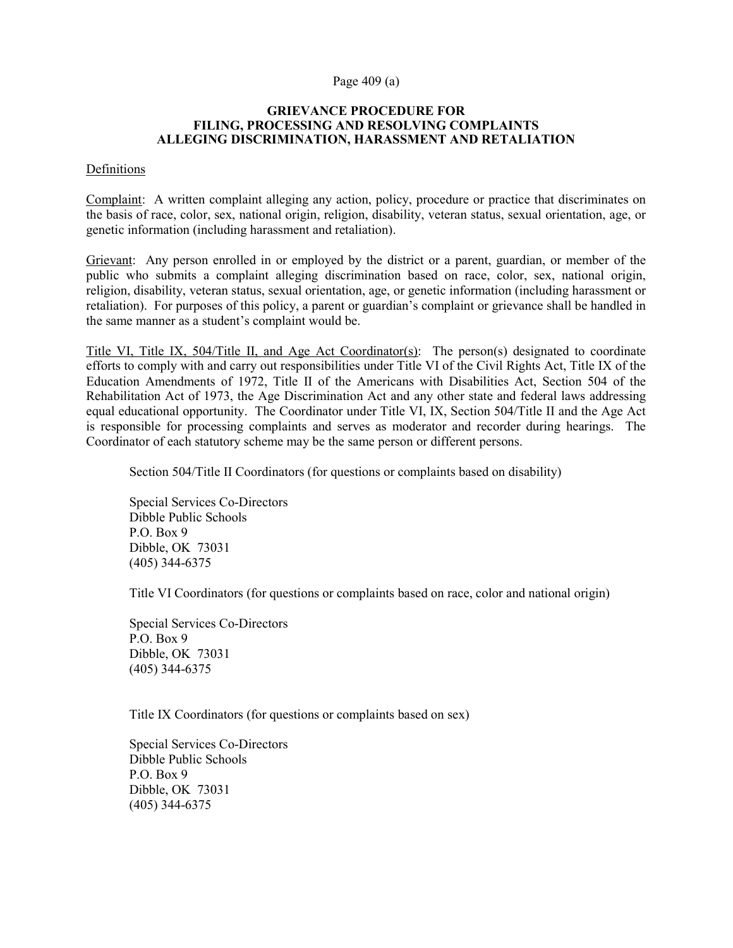# Page 409 (a)

## GRIEVANCE PROCEDURE FOR FILING, PROCESSING AND RESOLVING COMPLAINTS ALLEGING DISCRIMINATION, HARASSMENT AND RETALIATION

# Definitions

Complaint: A written complaint alleging any action, policy, procedure or practice that discriminates on the basis of race, color, sex, national origin, religion, disability, veteran status, sexual orientation, age, or genetic information (including harassment and retaliation).

Grievant: Any person enrolled in or employed by the district or a parent, guardian, or member of the public who submits a complaint alleging discrimination based on race, color, sex, national origin, religion, disability, veteran status, sexual orientation, age, or genetic information (including harassment or retaliation). For purposes of this policy, a parent or guardian's complaint or grievance shall be handled in the same manner as a student's complaint would be.

Title VI, Title IX, 504/Title II, and Age Act Coordinator(s): The person(s) designated to coordinate efforts to comply with and carry out responsibilities under Title VI of the Civil Rights Act, Title IX of the Education Amendments of 1972, Title II of the Americans with Disabilities Act, Section 504 of the Rehabilitation Act of 1973, the Age Discrimination Act and any other state and federal laws addressing equal educational opportunity. The Coordinator under Title VI, IX, Section 504/Title II and the Age Act is responsible for processing complaints and serves as moderator and recorder during hearings. The Coordinator of each statutory scheme may be the same person or different persons.

Section 504/Title II Coordinators (for questions or complaints based on disability)

Special Services Co-Directors Dibble Public Schools P.O. Box 9 Dibble, OK 73031 (405) 344-6375

Title VI Coordinators (for questions or complaints based on race, color and national origin)

Special Services Co-Directors P.O. Box 9 Dibble, OK 73031 (405) 344-6375

Title IX Coordinators (for questions or complaints based on sex)

Special Services Co-Directors Dibble Public Schools P.O. Box 9 Dibble, OK 73031 (405) 344-6375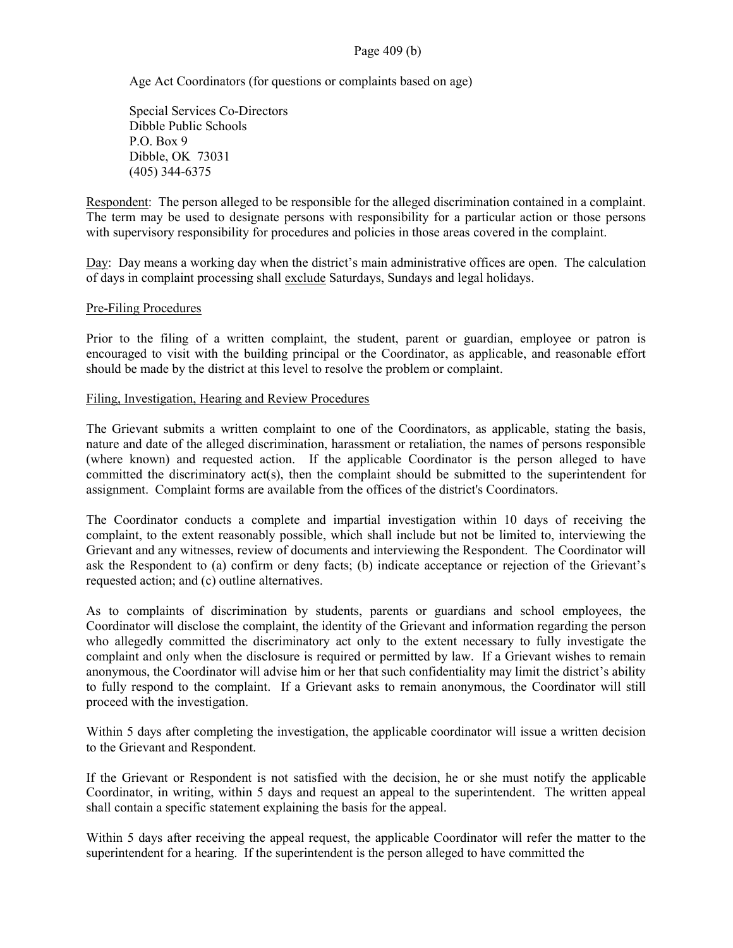# Page 409 (b)

Age Act Coordinators (for questions or complaints based on age)

Special Services Co-Directors Dibble Public Schools P.O. Box 9 Dibble, OK 73031 (405) 344-6375

Respondent: The person alleged to be responsible for the alleged discrimination contained in a complaint. The term may be used to designate persons with responsibility for a particular action or those persons with supervisory responsibility for procedures and policies in those areas covered in the complaint.

Day: Day means a working day when the district's main administrative offices are open. The calculation of days in complaint processing shall exclude Saturdays, Sundays and legal holidays.

#### Pre-Filing Procedures

Prior to the filing of a written complaint, the student, parent or guardian, employee or patron is encouraged to visit with the building principal or the Coordinator, as applicable, and reasonable effort should be made by the district at this level to resolve the problem or complaint.

# Filing, Investigation, Hearing and Review Procedures

The Grievant submits a written complaint to one of the Coordinators, as applicable, stating the basis, nature and date of the alleged discrimination, harassment or retaliation, the names of persons responsible (where known) and requested action. If the applicable Coordinator is the person alleged to have committed the discriminatory act(s), then the complaint should be submitted to the superintendent for assignment. Complaint forms are available from the offices of the district's Coordinators.

The Coordinator conducts a complete and impartial investigation within 10 days of receiving the complaint, to the extent reasonably possible, which shall include but not be limited to, interviewing the Grievant and any witnesses, review of documents and interviewing the Respondent. The Coordinator will ask the Respondent to (a) confirm or deny facts; (b) indicate acceptance or rejection of the Grievant's requested action; and (c) outline alternatives.

As to complaints of discrimination by students, parents or guardians and school employees, the Coordinator will disclose the complaint, the identity of the Grievant and information regarding the person who allegedly committed the discriminatory act only to the extent necessary to fully investigate the complaint and only when the disclosure is required or permitted by law. If a Grievant wishes to remain anonymous, the Coordinator will advise him or her that such confidentiality may limit the district's ability to fully respond to the complaint. If a Grievant asks to remain anonymous, the Coordinator will still proceed with the investigation.

Within 5 days after completing the investigation, the applicable coordinator will issue a written decision to the Grievant and Respondent.

If the Grievant or Respondent is not satisfied with the decision, he or she must notify the applicable Coordinator, in writing, within 5 days and request an appeal to the superintendent. The written appeal shall contain a specific statement explaining the basis for the appeal.

Within 5 days after receiving the appeal request, the applicable Coordinator will refer the matter to the superintendent for a hearing. If the superintendent is the person alleged to have committed the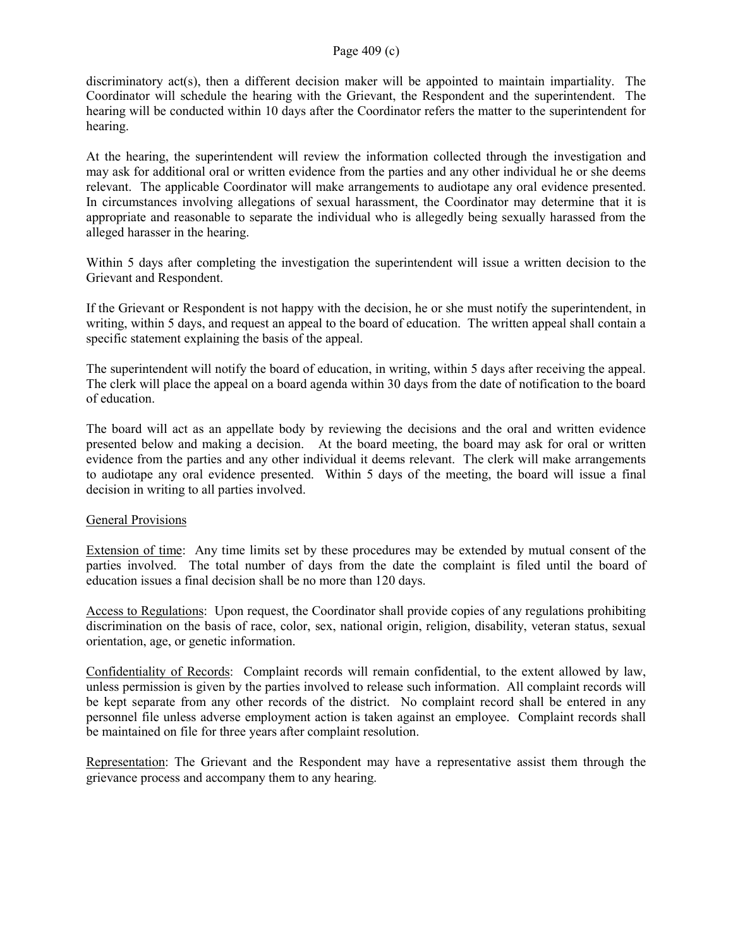# Page 409 (c)

discriminatory act(s), then a different decision maker will be appointed to maintain impartiality. The Coordinator will schedule the hearing with the Grievant, the Respondent and the superintendent. The hearing will be conducted within 10 days after the Coordinator refers the matter to the superintendent for hearing.

At the hearing, the superintendent will review the information collected through the investigation and may ask for additional oral or written evidence from the parties and any other individual he or she deems relevant. The applicable Coordinator will make arrangements to audiotape any oral evidence presented. In circumstances involving allegations of sexual harassment, the Coordinator may determine that it is appropriate and reasonable to separate the individual who is allegedly being sexually harassed from the alleged harasser in the hearing.

Within 5 days after completing the investigation the superintendent will issue a written decision to the Grievant and Respondent.

If the Grievant or Respondent is not happy with the decision, he or she must notify the superintendent, in writing, within 5 days, and request an appeal to the board of education. The written appeal shall contain a specific statement explaining the basis of the appeal.

The superintendent will notify the board of education, in writing, within 5 days after receiving the appeal. The clerk will place the appeal on a board agenda within 30 days from the date of notification to the board of education.

The board will act as an appellate body by reviewing the decisions and the oral and written evidence presented below and making a decision. At the board meeting, the board may ask for oral or written evidence from the parties and any other individual it deems relevant. The clerk will make arrangements to audiotape any oral evidence presented. Within 5 days of the meeting, the board will issue a final decision in writing to all parties involved.

# General Provisions

Extension of time: Any time limits set by these procedures may be extended by mutual consent of the parties involved. The total number of days from the date the complaint is filed until the board of education issues a final decision shall be no more than 120 days.

Access to Regulations: Upon request, the Coordinator shall provide copies of any regulations prohibiting discrimination on the basis of race, color, sex, national origin, religion, disability, veteran status, sexual orientation, age, or genetic information.

Confidentiality of Records: Complaint records will remain confidential, to the extent allowed by law, unless permission is given by the parties involved to release such information. All complaint records will be kept separate from any other records of the district. No complaint record shall be entered in any personnel file unless adverse employment action is taken against an employee. Complaint records shall be maintained on file for three years after complaint resolution.

Representation: The Grievant and the Respondent may have a representative assist them through the grievance process and accompany them to any hearing.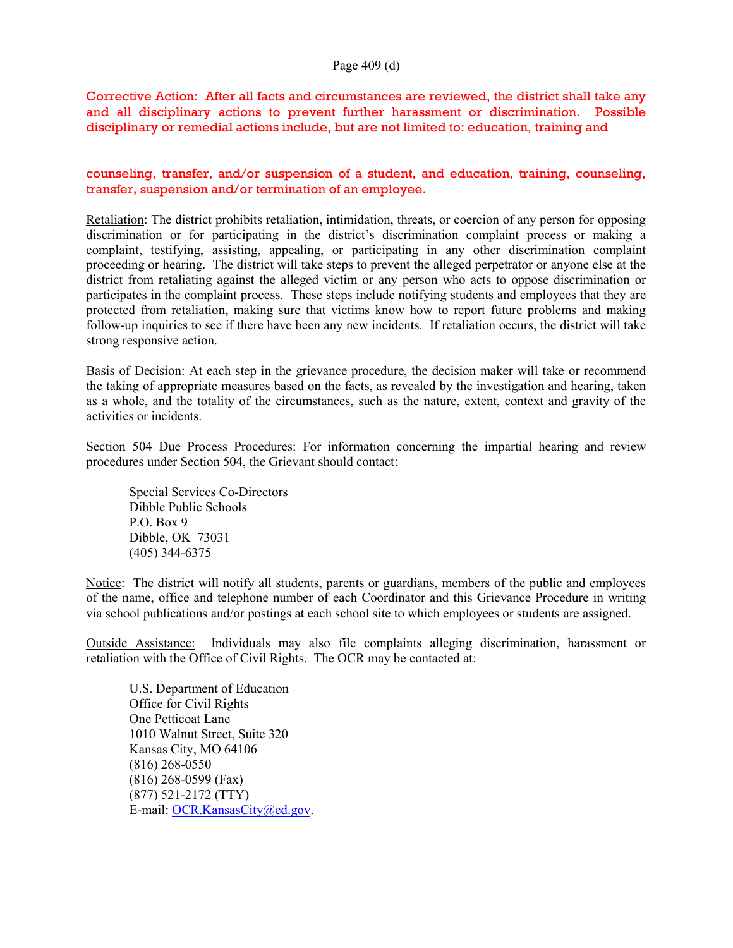# Page 409 (d)

Corrective Action: After all facts and circumstances are reviewed, the district shall take any and all disciplinary actions to prevent further harassment or discrimination. Possible disciplinary or remedial actions include, but are not limited to: education, training and

counseling, transfer, and/or suspension of a student, and education, training, counseling, transfer, suspension and/or termination of an employee.

Retaliation: The district prohibits retaliation, intimidation, threats, or coercion of any person for opposing discrimination or for participating in the district's discrimination complaint process or making a complaint, testifying, assisting, appealing, or participating in any other discrimination complaint proceeding or hearing. The district will take steps to prevent the alleged perpetrator or anyone else at the district from retaliating against the alleged victim or any person who acts to oppose discrimination or participates in the complaint process. These steps include notifying students and employees that they are protected from retaliation, making sure that victims know how to report future problems and making follow-up inquiries to see if there have been any new incidents. If retaliation occurs, the district will take strong responsive action.

Basis of Decision: At each step in the grievance procedure, the decision maker will take or recommend the taking of appropriate measures based on the facts, as revealed by the investigation and hearing, taken as a whole, and the totality of the circumstances, such as the nature, extent, context and gravity of the activities or incidents.

Section 504 Due Process Procedures: For information concerning the impartial hearing and review procedures under Section 504, the Grievant should contact:

Special Services Co-Directors Dibble Public Schools P.O. Box 9 Dibble, OK 73031 (405) 344-6375

Notice: The district will notify all students, parents or guardians, members of the public and employees of the name, office and telephone number of each Coordinator and this Grievance Procedure in writing via school publications and/or postings at each school site to which employees or students are assigned.

Outside Assistance: Individuals may also file complaints alleging discrimination, harassment or retaliation with the Office of Civil Rights. The OCR may be contacted at:

U.S. Department of Education Office for Civil Rights One Petticoat Lane 1010 Walnut Street, Suite 320 Kansas City, MO 64106 (816) 268-0550 (816) 268-0599 (Fax) (877) 521-2172 (TTY) E-mail: OCR.KansasCity@ed.gov.